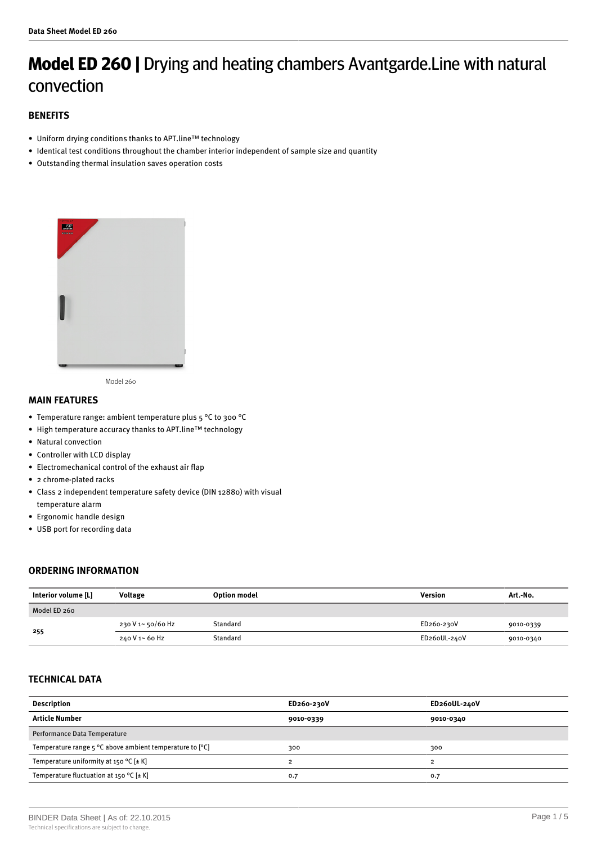# **Model ED 260 |** Drying and heating chambers Avantgarde.Line with natural convection

## **BENEFITS**

- Uniform drying conditions thanks to APT.line™ technology
- Identical test conditions throughout the chamber interior independent of sample size and quantity
- Outstanding thermal insulation saves operation costs



Model 260

### **MAIN FEATURES**

- Temperature range: ambient temperature plus 5 °C to 300 °C
- High temperature accuracy thanks to APT.line™ technology
- Natural convection
- Controller with LCD display
- Electromechanical control of the exhaust air flap
- 2 chrome-plated racks
- Class 2 independent temperature safety device (DIN 12880) with visual temperature alarm
- Ergonomic handle design
- USB port for recording data

## **ORDERING INFORMATION**

| Interior volume [L] | <b>Voltage</b>    | <b>Option model</b> | Version      | Art.-No.  |
|---------------------|-------------------|---------------------|--------------|-----------|
| Model ED 260        |                   |                     |              |           |
| 255                 | 230 V 1~ 50/60 Hz | Standard            | ED260-230V   | 9010-0339 |
|                     | 240 V 1~ 60 Hz    | Standard            | ED26oUL-240V | 9010-0340 |

## **TECHNICAL DATA**

| <b>Description</b>                                                         | ED260-230V | ED26oUL-240V |
|----------------------------------------------------------------------------|------------|--------------|
| <b>Article Number</b>                                                      | 9010-0339  | 9010-0340    |
| Performance Data Temperature                                               |            |              |
| Temperature range $5^{\circ}$ C above ambient temperature to $[^{\circ}C]$ | 300        | 300          |
| Temperature uniformity at 150 °C $[\pm K]$                                 |            |              |
| Temperature fluctuation at 150 °C $[\pm K]$                                | 0.7        | 0.7          |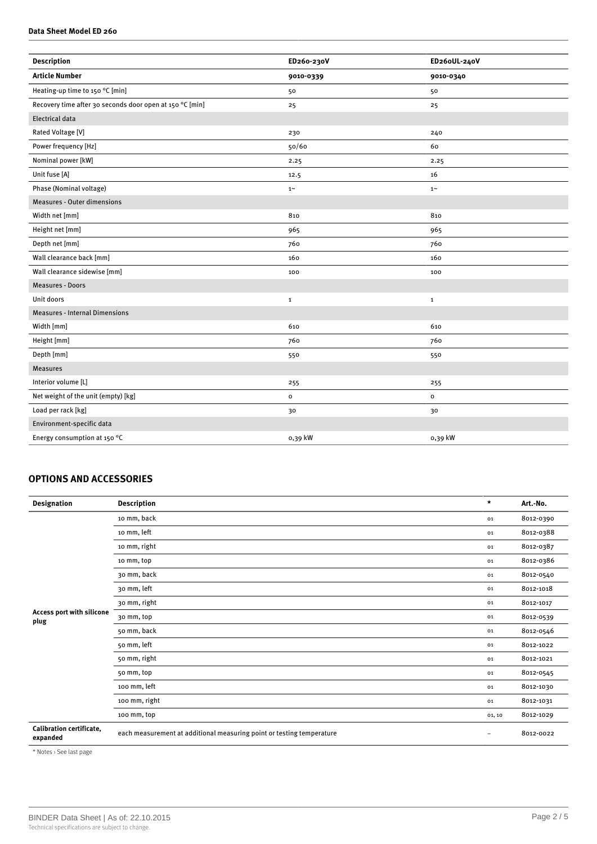#### **Data Sheet Model ED 260**

| <b>Description</b>                                       | ED260-230V   | ED26oUL-240V   |
|----------------------------------------------------------|--------------|----------------|
| <b>Article Number</b>                                    | 9010-0339    | 9010-0340      |
| Heating-up time to 150 °C [min]                          | 50           | 50             |
| Recovery time after 30 seconds door open at 150 °C [min] | 25           | 25             |
| <b>Electrical data</b>                                   |              |                |
| Rated Voltage [V]                                        | 230          | 240            |
| Power frequency [Hz]                                     | 50/60        | 60             |
| Nominal power [kW]                                       | 2.25         | 2.25           |
| Unit fuse [A]                                            | 12.5         | 16             |
| Phase (Nominal voltage)                                  | $1\sim$      | $1\sim$        |
| <b>Measures - Outer dimensions</b>                       |              |                |
| Width net [mm]                                           | 810          | 810            |
| Height net [mm]                                          | 965          | 965            |
| Depth net [mm]                                           | 760          | 760            |
| Wall clearance back [mm]                                 | 160          | 160            |
| Wall clearance sidewise [mm]                             | 100          | 100            |
| <b>Measures - Doors</b>                                  |              |                |
| Unit doors                                               | $\mathbf{1}$ | $\mathbf{1}$   |
| <b>Measures - Internal Dimensions</b>                    |              |                |
| Width [mm]                                               | 610          | 610            |
| Height [mm]                                              | 760          | 760            |
| Depth [mm]                                               | 550          | 550            |
| <b>Measures</b>                                          |              |                |
| Interior volume [L]                                      | 255          | 255            |
| Net weight of the unit (empty) [kg]                      | $\mathbf{o}$ | $\mathsf{o}\,$ |
| Load per rack [kg]                                       | 30           | 30             |
| Environment-specific data                                |              |                |
| Energy consumption at 150 °C                             | 0,39 kW      | 0,39 kW        |

## **OPTIONS AND ACCESSORIES**

| <b>Designation</b>                          | <b>Description</b>                                                    | $\star$           | Art.-No.  |
|---------------------------------------------|-----------------------------------------------------------------------|-------------------|-----------|
|                                             | 10 mm, back                                                           | 01                | 8012-0390 |
|                                             | 10 mm, left                                                           | 01                | 8012-0388 |
|                                             | 10 mm, right                                                          | 01                | 8012-0387 |
|                                             | 10 mm, top                                                            | 01                | 8012-0386 |
|                                             | 30 mm, back                                                           | 01                | 8012-0540 |
|                                             | 30 mm, left                                                           | 01                | 8012-1018 |
|                                             | 30 mm, right                                                          | 01                | 8012-1017 |
| Access port with silicone<br>plug           | 30 mm, top                                                            | 01                | 8012-0539 |
|                                             | 50 mm, back                                                           | 01                | 8012-0546 |
|                                             | 50 mm, left                                                           | 01                | 8012-1022 |
|                                             | 50 mm, right                                                          | 01                | 8012-1021 |
|                                             | 50 mm, top                                                            | 01                | 8012-0545 |
|                                             | 100 mm, left                                                          | 01                | 8012-1030 |
|                                             | 100 mm, right                                                         | 01                | 8012-1031 |
|                                             | 100 mm, top                                                           | 01, 10            | 8012-1029 |
| <b>Calibration certificate,</b><br>expanded | each measurement at additional measuring point or testing temperature | $\qquad \qquad -$ | 8012-0022 |

\* Notes › See last page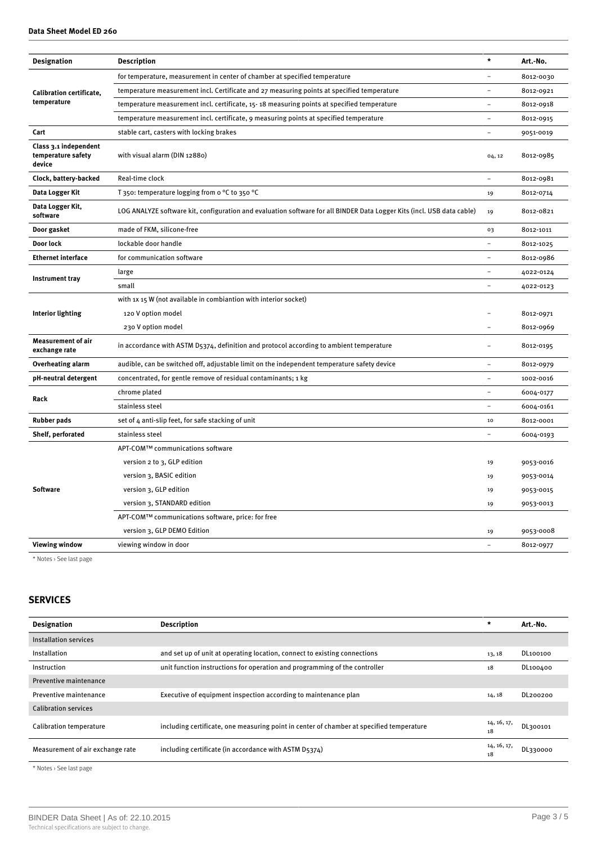|  | Data Sheet Model ED 260 |  |
|--|-------------------------|--|
|  |                         |  |

| <b>Designation</b>                                    | <b>Description</b>                                                                                                     | $\star$  | Art.-No.  |
|-------------------------------------------------------|------------------------------------------------------------------------------------------------------------------------|----------|-----------|
| Calibration certificate,<br>temperature               | for temperature, measurement in center of chamber at specified temperature                                             |          | 8012-0030 |
|                                                       | temperature measurement incl. Certificate and 27 measuring points at specified temperature                             |          | 8012-0921 |
|                                                       | temperature measurement incl. certificate, 15-18 measuring points at specified temperature                             |          | 8012-0918 |
|                                                       | temperature measurement incl. certificate, 9 measuring points at specified temperature                                 |          | 8012-0915 |
| Cart                                                  | stable cart, casters with locking brakes                                                                               |          | 9051-0019 |
| Class 3.1 independent<br>temperature safety<br>device | with visual alarm (DIN 12880)                                                                                          | 04, 12   | 8012-0985 |
| Clock, battery-backed                                 | Real-time clock                                                                                                        |          | 8012-0981 |
| Data Logger Kit                                       | T 350: temperature logging from $\circ$ °C to 350 °C                                                                   | 19       | 8012-0714 |
| Data Logger Kit,<br>software                          | LOG ANALYZE software kit, configuration and evaluation software for all BINDER Data Logger Kits (incl. USB data cable) | 19       | 8012-0821 |
| Door gasket                                           | made of FKM, silicone-free                                                                                             | 03       | 8012-1011 |
| Door lock                                             | lockable door handle                                                                                                   | $\equiv$ | 8012-1025 |
| <b>Ethernet interface</b>                             | for communication software                                                                                             |          | 8012-0986 |
| Instrument tray                                       | large                                                                                                                  |          | 4022-0124 |
|                                                       | small                                                                                                                  |          | 4022-0123 |
|                                                       | with 1x 15 W (not available in combiantion with interior socket)                                                       |          |           |
| <b>Interior lighting</b>                              | 120 V option model                                                                                                     |          | 8012-0971 |
|                                                       | 230 V option model                                                                                                     |          | 8012-0969 |
| <b>Measurement of air</b><br>exchange rate            | in accordance with ASTM D5374, definition and protocol according to ambient temperature                                |          | 8012-0195 |
| <b>Overheating alarm</b>                              | audible, can be switched off, adjustable limit on the independent temperature safety device                            |          | 8012-0979 |
| pH-neutral detergent                                  | concentrated, for gentle remove of residual contaminants; 1 kg                                                         |          | 1002-0016 |
| Rack                                                  | chrome plated                                                                                                          |          | 6004-0177 |
|                                                       | stainless steel                                                                                                        |          | 6004-0161 |
| <b>Rubber pads</b>                                    | set of 4 anti-slip feet, for safe stacking of unit                                                                     | 10       | 8012-0001 |
| Shelf, perforated                                     | stainless steel                                                                                                        |          | 6004-0193 |
|                                                       | APT-COM™ communications software                                                                                       |          |           |
| <b>Software</b>                                       | version 2 to 3, GLP edition                                                                                            | 19       | 9053-0016 |
|                                                       | version 3, BASIC edition                                                                                               | 19       | 9053-0014 |
|                                                       | version 3, GLP edition                                                                                                 | 19       | 9053-0015 |
|                                                       | version 3, STANDARD edition                                                                                            | 19       | 9053-0013 |
|                                                       | APT-COM™ communications software, price: for free                                                                      |          |           |
|                                                       | version 3, GLP DEMO Edition                                                                                            | 19       | 9053-0008 |
| <b>Viewing window</b>                                 | viewing window in door                                                                                                 |          | 8012-0977 |

\* Notes › See last page

## **SERVICES**

| <b>Designation</b>               | <b>Description</b>                                                                       | ÷                 | Art.-No. |
|----------------------------------|------------------------------------------------------------------------------------------|-------------------|----------|
| Installation services            |                                                                                          |                   |          |
| Installation                     | and set up of unit at operating location, connect to existing connections                | 13, 18            | DL100100 |
| Instruction                      | unit function instructions for operation and programming of the controller               | 18                | DL100400 |
| Preventive maintenance           |                                                                                          |                   |          |
| Preventive maintenance           | Executive of equipment inspection according to maintenance plan                          | 14, 18            | DL200200 |
| <b>Calibration services</b>      |                                                                                          |                   |          |
| Calibration temperature          | including certificate, one measuring point in center of chamber at specified temperature | 14, 16, 17,<br>18 | DL300101 |
| Measurement of air exchange rate | including certificate (in accordance with ASTM D5374)                                    | 14, 16, 17,<br>18 | DL330000 |

\* Notes › See last page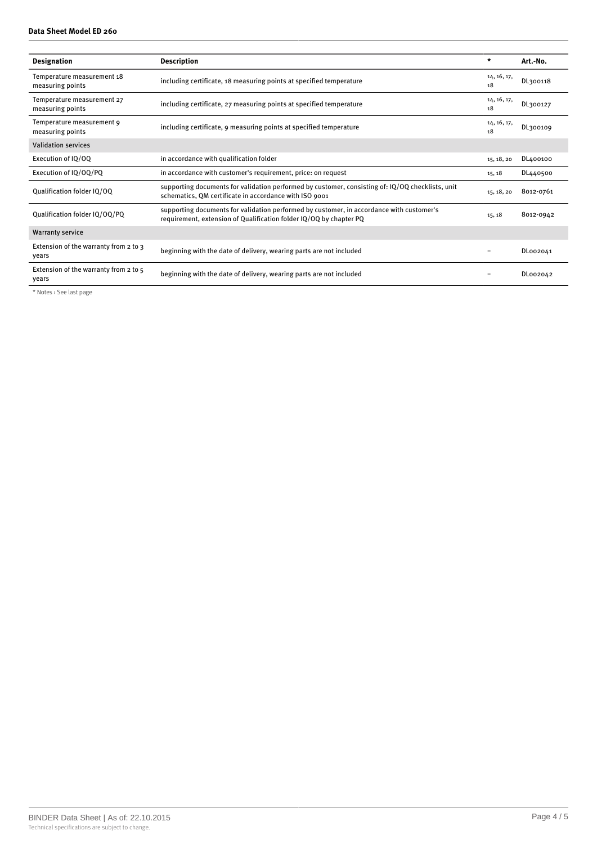#### **Data Sheet Model ED 260**

| <b>Designation</b>                             | <b>Description</b>                                                                                                                                             | $\star$           | Art.-No.  |
|------------------------------------------------|----------------------------------------------------------------------------------------------------------------------------------------------------------------|-------------------|-----------|
| Temperature measurement 18<br>measuring points | including certificate, 18 measuring points at specified temperature                                                                                            | 14, 16, 17,<br>18 | DL300118  |
| Temperature measurement 27<br>measuring points | including certificate, 27 measuring points at specified temperature                                                                                            | 14, 16, 17,<br>18 | DL300127  |
| Temperature measurement 9<br>measuring points  | including certificate, 9 measuring points at specified temperature                                                                                             | 14, 16, 17,<br>18 | DL300109  |
| <b>Validation services</b>                     |                                                                                                                                                                |                   |           |
| Execution of IQ/OQ                             | in accordance with qualification folder                                                                                                                        | 15, 18, 20        | DL400100  |
| Execution of IQ/OQ/PQ                          | in accordance with customer's requirement, price: on request                                                                                                   | 15, 18            | DL440500  |
| Qualification folder IQ/OQ                     | supporting documents for validation performed by customer, consisting of: IQ/OQ checklists, unit<br>schematics, QM certificate in accordance with ISO 9001     | 15, 18, 20        | 8012-0761 |
| Qualification folder IQ/OQ/PQ                  | supporting documents for validation performed by customer, in accordance with customer's<br>requirement, extension of Qualification folder IQ/OQ by chapter PQ | 15, 18            | 8012-0942 |
| <b>Warranty service</b>                        |                                                                                                                                                                |                   |           |
| Extension of the warranty from 2 to 3<br>years | beginning with the date of delivery, wearing parts are not included                                                                                            |                   | DL002041  |
| Extension of the warranty from 2 to 5<br>years | beginning with the date of delivery, wearing parts are not included                                                                                            |                   | DL002042  |

\* Notes › See last page